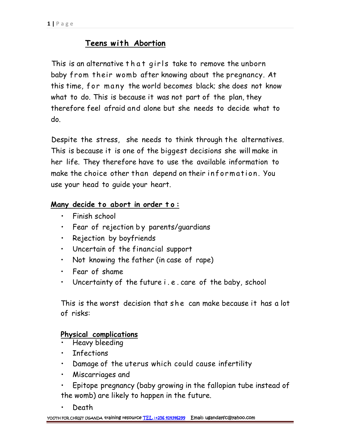# **Teens with Abortion**

1|Page<br>
Teens with Abortion<br>
This is an alternative that girls take to remove the unborn baby from their womb after knowing about the pregnancy. At this time, for many the world becomes black; she does not know what to do. This is because it was not part of the plan, they therefore feel afraid and alone but she needs to decide what to do.

Despite the stress, she needs to think through the alternatives. This is because it is one of the biggest decisions she willmake in her life. They therefore have to use the available information to Despite the stress, she needs to think through the alternatives.<br>This is because it is one of the biggest decisions she will make in<br>her life. They therefore have to use the available information to<br>make the choice other t use your head to guide your heart. make the choice other than depend on their information. You<br>use your head to guide your heart.<br>**Many decide to abort in order to:** 

- Finish school
- Fear of rejection by parents/guardians<br>• Rejection by boyfriends
- Rejection by boyfriends
- Uncertain of the financial support
- Not knowing the father (in case of rape)
- Fear of shame
- Rejection by boytrienas<br>• Uncertain of the financial support<br>• Not knowing the father (in case of rape)<br>• Fear of shame<br>• Uncertainty of the future i . e . care of the baby, school

• Not knowing the father (in case of rape)<br>• Fear of shame<br>• Uncertainty of the future i.e. care of the baby, school<br>This is the worst decision that she can make because it has a lot<br>of risks: of risks:

## **Physical complications**

- Heavy bleeding
- **Infections**
- Damage of the uterus which could cause infertility
- Miscarriages and
- Epitope pregnancy (baby growing in the fallopian tube instead of the womb) are likely to happen in the future.
- Death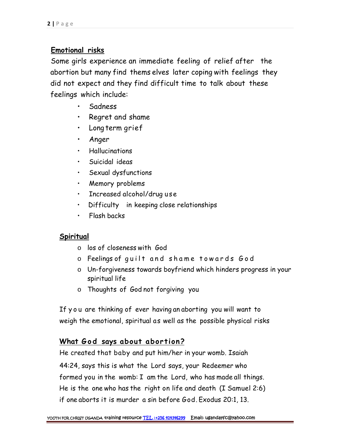## **Emotional risks**

Some girls experience an immediate feeling of relief after the abortion but many find thems elves later coping with feelings they did not expect and they find difficult time to talk about these feelings which include:

- Sadness
- Regret and shame
- Long term grief
- Anger
- Hallucinations
- Suicidal ideas
- Sexual dysfunctions
- Memory problems
- Increased alcohol/drug use
- Difficulty in keeping close relationships
- Flash backs

## **Spiritual**

- o los of closeness with God
- 
- tual<br>o los of closeness with God<br>o Feelings of g u i l t and shame to wards God<br>o Un-forgiveness towards boyfriend which hinders progress in your spiritual life
- o Thoughts of God not forgiving you

If y o u are thinking of ever having an aborting you will want to weigh the emotional, spiritual as well as the possible physical risks If you are thinking of ever having an aborting you will want to<br>
weigh the emotional, spiritual as well as the possible physical risks<br>
<u>What God says about abortion?</u><br>He created that baby and put him/her in your womb. Isa

44:24, says this is what the Lord says, your Redeemer who formed you in the womb: I am the Lord, who has made all things. He is the one who has the right on life and death (I Samuel 2:6) if one aborts it is murder a sin before God. Exodus 20:1, 13.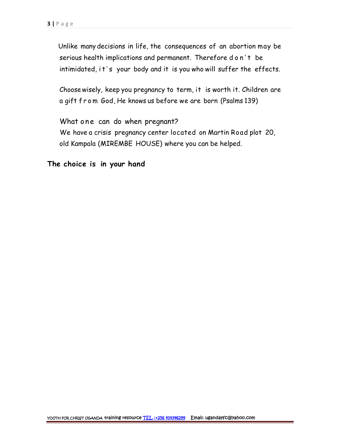Unlike many decisions in life, the consequences of an abortion may be age<br>Unlike many decisions in life, the consequences of an abortion may be<br>serious health implications and permanent. Therefore d o n't be<br>intimidated, it's your body and it is you who will suffer the effects. Unlike many decisions in life, the consequences of an abortion may be<br>serious health implications and permanent. Therefore d o n't be<br>intimidated, i t's your body and it is you who will suffer the effects.

Choosewisely, keep you pregnancy to term, it is worth it. Children are intimidated, it's your body and it is you who will suffer the effects<br>Choose wisely, keep you pregnancy to term, it is worth it. Children ar<br>a gift from God, He knows us before we are born (Psalms 139)

What one can do when pregnant? We have a crisis pregnancy center located on Martin Road plot 20, old Kampala (MIREMBE HOUSE) where you can be helped.

**The choice is in your hand**